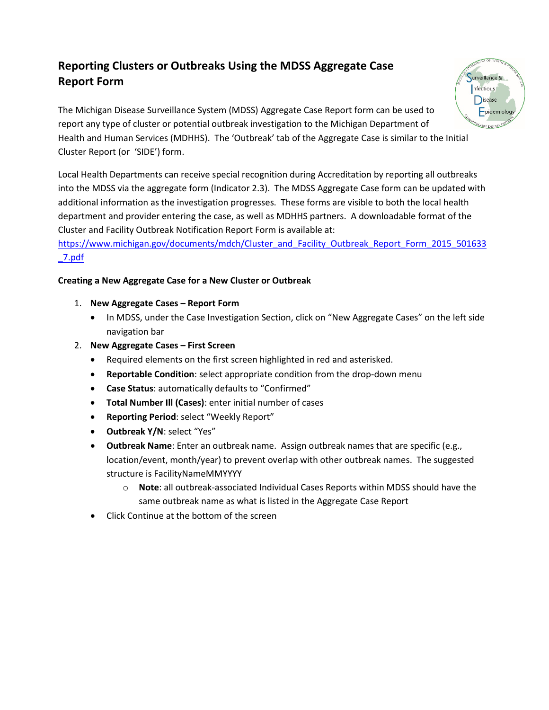# **Reporting Clusters or Outbreaks Using the MDSS Aggregate Case Report Form**



Local Health Departments can receive special recognition during Accreditation by reporting all outbreaks into the MDSS via the aggregate form (Indicator 2.3). The MDSS Aggregate Case form can be updated with additional information as the investigation progresses. These forms are visible to both the local health department and provider entering the case, as well as MDHHS partners. A downloadable format of the Cluster and Facility Outbreak Notification Report Form is available at:

# [https://www.michigan.gov/documents/mdch/Cluster\\_and\\_Facility\\_Outbreak\\_Report\\_Form\\_2015\\_501633](https://www.michigan.gov/documents/mdch/Cluster_and_Facility_Outbreak_Report_Form_2015_501633_7.pdf) [\\_7.pdf](https://www.michigan.gov/documents/mdch/Cluster_and_Facility_Outbreak_Report_Form_2015_501633_7.pdf)

## **Creating a New Aggregate Case for a New Cluster or Outbreak**

- 1. **New Aggregate Cases – Report Form**
	- In MDSS, under the Case Investigation Section, click on "New Aggregate Cases" on the left side navigation bar
- 2. **New Aggregate Cases – First Screen**
	- Required elements on the first screen highlighted in red and asterisked.
	- **Reportable Condition**: select appropriate condition from the drop-down menu
	- **Case Status**: automatically defaults to "Confirmed"
	- **Total Number Ill (Cases)**: enter initial number of cases
	- **Reporting Period**: select "Weekly Report"
	- **Outbreak Y/N**: select "Yes"
	- **Outbreak Name**: Enter an outbreak name. Assign outbreak names that are specific (e.g., location/event, month/year) to prevent overlap with other outbreak names. The suggested structure is FacilityNameMMYYYY
		- o **Note**: all outbreak-associated Individual Cases Reports within MDSS should have the same outbreak name as what is listed in the Aggregate Case Report
	- Click Continue at the bottom of the screen

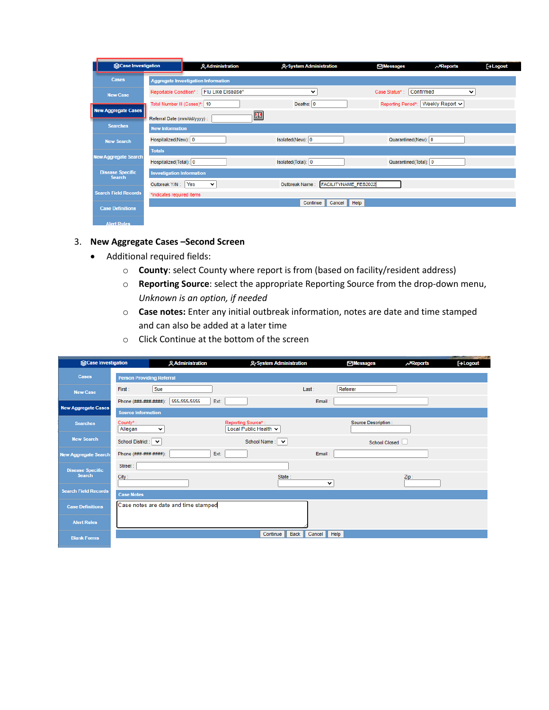|                                          | <b>Scase Investigation</b> |                                  | <b>Administration</b>                      | ₽ System Administration                | ⊠Messages             | $\lambda$ <sub>Reports</sub> | $\Box$ Logout |
|------------------------------------------|----------------------------|----------------------------------|--------------------------------------------|----------------------------------------|-----------------------|------------------------------|---------------|
| Cases                                    |                            |                                  | <b>Aggregate Investigation Information</b> |                                        |                       |                              |               |
| <b>New Case</b>                          |                            | Reportable Condition*:           | Flu Like Disease*                          | v                                      | Case Status*:         | Confirmed<br>v               |               |
|                                          |                            | Total Number III (Cases)*: 10    |                                            | Deaths: $\vert 0 \vert$                | Reporting Period*:    | Weekly Report v              |               |
| <b>New Aggregate Cases</b>               |                            | Referral Date (mm/dd/yyyy):      | $\mathbf{E}$                               |                                        |                       |                              |               |
| <b>Searches</b>                          |                            | <b>New Information</b>           |                                            |                                        |                       |                              |               |
| <b>New Search</b>                        |                            | Hospitalized(New): 0             |                                            | Isolated(New): 0                       | Quarantined(New): 0   |                              |               |
| <b>New Aggregate Search</b>              |                            | <b>Totals</b>                    |                                            |                                        |                       |                              |               |
|                                          |                            | Hospitalized(Total): 0           |                                            | Isolated(Total): 0                     | Quarantined(Total): 0 |                              |               |
| <b>Disease Specific</b><br><b>Search</b> |                            | <b>Investigation Information</b> |                                            |                                        |                       |                              |               |
|                                          |                            | Outbreak Y/N:                    | Yes<br>$\checkmark$                        | FACILITYNAME FEB2022<br>Outbreak Name: |                       |                              |               |
| <b>Search Field Records</b>              |                            | *indicates required items        |                                            |                                        |                       |                              |               |
| <b>Case Definitions</b>                  |                            |                                  |                                            | Help<br>Cancel<br>Continue             |                       |                              |               |
| <b>Alert Rules</b>                       |                            |                                  |                                            |                                        |                       |                              |               |

#### 3. **New Aggregate Cases –Second Screen**

- Additional required fields:
	- o **County**: select County where report is from (based on facility/resident address)
	- o **Reporting Source**: select the appropriate Reporting Source from the drop-down menu, *Unknown is an option, if needed*
	- o **Case notes:** Enter any initial outbreak information, notes are date and time stamped and can also be added at a later time
	- o Click Continue at the bottom of the screen

| <b>Scase Investigation</b>  |                                     | <b>Administration</b>                | A-System Administration                     |        | <b>⊠Messages</b>    | $\lambda$ Reports | <b>AND COMPANY OF STREET</b><br><b><i><u>Contractors</u></i></b><br>[→ Logout |
|-----------------------------|-------------------------------------|--------------------------------------|---------------------------------------------|--------|---------------------|-------------------|-------------------------------------------------------------------------------|
| <b>Cases</b>                | <b>Person Providing Referral</b>    |                                      |                                             |        |                     |                   |                                                                               |
| <b>New Case</b>             | Sue<br>First:                       |                                      |                                             | Last:  | Referrer            |                   |                                                                               |
|                             | Phone (###-###-####):               | 555-555-5555<br>Ext:                 |                                             | Email: |                     |                   |                                                                               |
| <b>New Aggregate Cases</b>  | <b>Source Information</b>           |                                      |                                             |        |                     |                   |                                                                               |
| <b>Searches</b>             | County*:<br>Allegan<br>$\checkmark$ |                                      | Reporting Source*:<br>Local Public Health v |        | Source Description: |                   |                                                                               |
| <b>New Search</b>           | School District:<br>$\check{ }$     |                                      | School Name:<br>$\check{ }$                 |        | School Closed       |                   |                                                                               |
| <b>New Aggregate Search</b> | Phone (###-###-####):               | Ext:                                 |                                             | Email: |                     |                   |                                                                               |
| <b>Disease Specific</b>     | Street:                             |                                      |                                             |        |                     |                   |                                                                               |
| <b>Search</b>               | City:                               |                                      | State:                                      | v      |                     | Zip:              |                                                                               |
| <b>Search Field Records</b> | <b>Case Notes</b>                   |                                      |                                             |        |                     |                   |                                                                               |
| <b>Case Definitions</b>     |                                     | Case notes are date and time stamped |                                             |        |                     |                   |                                                                               |
| <b>Alert Rules</b>          |                                     |                                      |                                             |        |                     |                   |                                                                               |
|                             |                                     |                                      |                                             |        |                     |                   |                                                                               |
| <b>Blank Forms</b>          |                                     |                                      | Continue<br><b>Back</b>                     | Cancel | Help                |                   |                                                                               |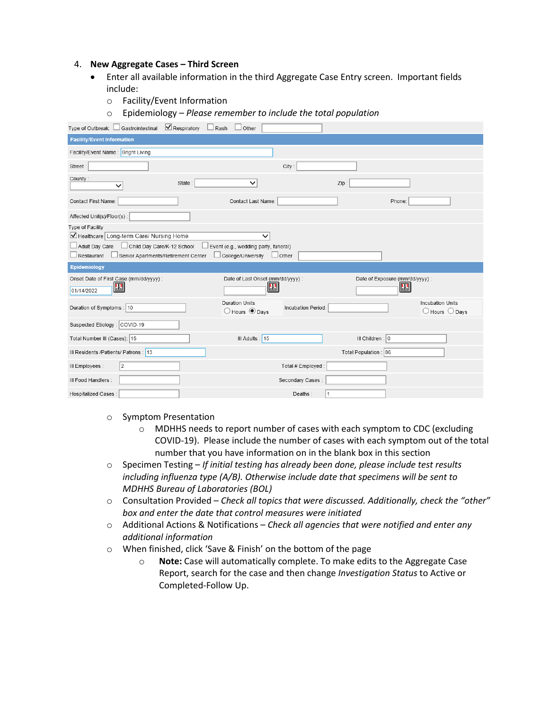#### 4. **New Aggregate Cases – Third Screen**

- Enter all available information in the third Aggregate Case Entry screen. Important fields include:
	- o Facility/Event Information
	- o Epidemiology *Please remember to include the total population*

| Type of Outbreak: □ Gastrointestinal ■ Respiratory                      | Rash<br>Other                                             |                    |                                      |                                                             |
|-------------------------------------------------------------------------|-----------------------------------------------------------|--------------------|--------------------------------------|-------------------------------------------------------------|
| <b>Facility/Event Information</b>                                       |                                                           |                    |                                      |                                                             |
| Facility/Event Name: Bright Living                                      |                                                           |                    |                                      |                                                             |
| Street:                                                                 |                                                           | City:              |                                      |                                                             |
| County:<br>State<br>$\checkmark$                                        | $\checkmark$                                              | Zip                |                                      |                                                             |
| Contact First Name:                                                     | Contact Last Name:                                        |                    | Phone:                               |                                                             |
| Affected Unit(s)/Floor(s):                                              |                                                           |                    |                                      |                                                             |
| Type of Facility                                                        |                                                           |                    |                                      |                                                             |
| Healthcare Long-term Care/ Nursing Home                                 | $\checkmark$                                              |                    |                                      |                                                             |
| Child Day Care/K-12 School<br>Adult Day Care                            | Event (e.g., wedding party, funeral)                      |                    |                                      |                                                             |
| Restaurant<br>Senior Apartments/Retirement Center                       | College/University                                        | $\Box$ Other       |                                      |                                                             |
|                                                                         |                                                           |                    |                                      |                                                             |
| Epidemiology                                                            |                                                           |                    |                                      |                                                             |
|                                                                         |                                                           |                    |                                      |                                                             |
| Onset Date of First Case (mm/dd/yyyy) :<br>$\mathbb{H}^2$<br>01/14/2022 | Date of Last Onset (mm/dd/yyyy) :<br>$\mathbf{H}^2$       |                    | Date of Exposure (mm/dd/yyyy) :<br>匷 |                                                             |
| Duration of Symptoms : 10                                               | <b>Duration Units</b><br>$\bigcirc$ Hours $\bigcirc$ Days | Incubation Period: |                                      | <b>Incubation Units</b><br>$\bigcirc$ Hours $\bigcirc$ Days |
| Suspected Etiology: COVID-19                                            |                                                           |                    |                                      |                                                             |
| Total Number III (Cases): 15                                            | III Adults : 15                                           |                    | III Children : 0                     |                                                             |
| III Residents /Patients/ Patrons : 13                                   |                                                           |                    | Total Population : 86                |                                                             |
| 2<br>III Employees :                                                    |                                                           | Total # Employed : |                                      |                                                             |
| III Food Handlers :                                                     |                                                           | Secondary Cases:   |                                      |                                                             |

- o Symptom Presentation
	- o MDHHS needs to report number of cases with each symptom to CDC (excluding COVID-19). Please include the number of cases with each symptom out of the total number that you have information on in the blank box in this section
- o Specimen Testing *If initial testing has already been done, please include test results including influenza type (A/B). Otherwise include date that specimens will be sent to MDHHS Bureau of Laboratories (BOL)*
- o Consultation Provided *Check all topics that were discussed. Additionally, check the "other" box and enter the date that control measures were initiated*
- o Additional Actions & Notifications *Check all agencies that were notified and enter any additional information*
- o When finished, click 'Save & Finish' on the bottom of the page
	- o **Note:** Case will automatically complete. To make edits to the Aggregate Case Report, search for the case and then change *Investigation Status* to Active or Completed-Follow Up.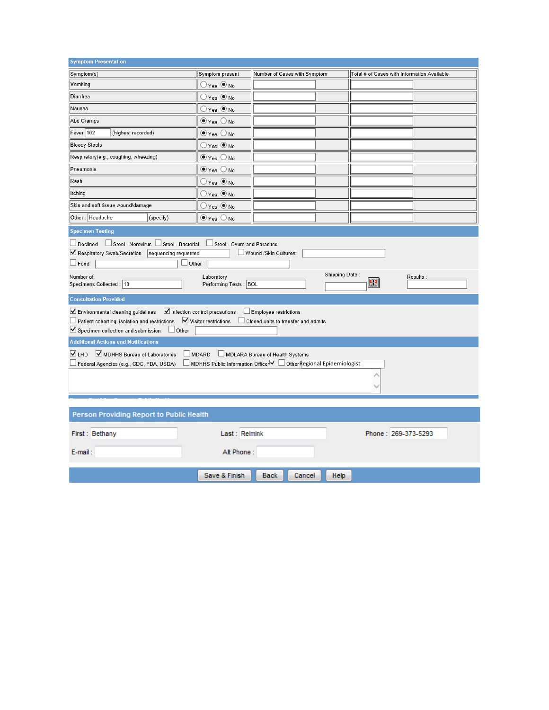| <b>Symptom Presentation</b>                                                                                                                                                                                                                                                                                                                                                                                                                                                                                                                                                                                                                                           |                                             |                              |                                             |  |  |  |  |  |
|-----------------------------------------------------------------------------------------------------------------------------------------------------------------------------------------------------------------------------------------------------------------------------------------------------------------------------------------------------------------------------------------------------------------------------------------------------------------------------------------------------------------------------------------------------------------------------------------------------------------------------------------------------------------------|---------------------------------------------|------------------------------|---------------------------------------------|--|--|--|--|--|
| Symptom(s)                                                                                                                                                                                                                                                                                                                                                                                                                                                                                                                                                                                                                                                            | Symptom present                             | Number of Cases with Symptom | Total # of Cases with Information Available |  |  |  |  |  |
| Vomiting                                                                                                                                                                                                                                                                                                                                                                                                                                                                                                                                                                                                                                                              | $\bigcirc$ Yes $\bigcirc$ No                |                              |                                             |  |  |  |  |  |
| Diarrhea                                                                                                                                                                                                                                                                                                                                                                                                                                                                                                                                                                                                                                                              | $\bigcirc$ Yes $\circledcirc$ No            |                              |                                             |  |  |  |  |  |
| Nausea                                                                                                                                                                                                                                                                                                                                                                                                                                                                                                                                                                                                                                                                | $\bigcirc$ Yes $\bigcirc$ No                |                              |                                             |  |  |  |  |  |
| Abd Cramps                                                                                                                                                                                                                                                                                                                                                                                                                                                                                                                                                                                                                                                            | $\odot$ Yes $\bigcirc$ No                   |                              |                                             |  |  |  |  |  |
| Fever 102<br>(highest recorded)                                                                                                                                                                                                                                                                                                                                                                                                                                                                                                                                                                                                                                       | $\odot$ Yes $\bigcirc$ No                   |                              |                                             |  |  |  |  |  |
| <b>Bloody Stools</b>                                                                                                                                                                                                                                                                                                                                                                                                                                                                                                                                                                                                                                                  | $\bigcirc$ Yes $\circledcirc$ No            |                              |                                             |  |  |  |  |  |
| Respiratory(e.g., coughing, wheezing)                                                                                                                                                                                                                                                                                                                                                                                                                                                                                                                                                                                                                                 | $\odot$ Yes $\bigcirc$ No                   |                              |                                             |  |  |  |  |  |
| Pneumonia                                                                                                                                                                                                                                                                                                                                                                                                                                                                                                                                                                                                                                                             | $\odot$ Yes $\bigcirc$ No                   |                              |                                             |  |  |  |  |  |
| Rash                                                                                                                                                                                                                                                                                                                                                                                                                                                                                                                                                                                                                                                                  | $\bigcirc$ Yes $\bigcirc$ No                |                              |                                             |  |  |  |  |  |
| Itching                                                                                                                                                                                                                                                                                                                                                                                                                                                                                                                                                                                                                                                               | $\bigcirc$ Yes $\circledbullet$ No          |                              |                                             |  |  |  |  |  |
| Skin and soft tissue wound/damage                                                                                                                                                                                                                                                                                                                                                                                                                                                                                                                                                                                                                                     | $\bigcirc$ Yes $\circledast$ No             |                              |                                             |  |  |  |  |  |
| Other: Headache<br>(specify)                                                                                                                                                                                                                                                                                                                                                                                                                                                                                                                                                                                                                                          | $\odot$ Yes $\bigcirc$ No                   |                              |                                             |  |  |  |  |  |
| <b>Specimen Testing</b>                                                                                                                                                                                                                                                                                                                                                                                                                                                                                                                                                                                                                                               |                                             |                              |                                             |  |  |  |  |  |
| Stool - Norovirus Stool - Bacterial<br>$\Box$ Declined<br>$\Box$ Stool - Ovum and Parasites<br>Respiratory Swab/Secretion<br>sequencing requested<br>Wound /Skin Cultures:<br>$\Box$ Other<br>$\Box$ Food<br>Shipping Date:<br>Number of<br>Laboratory<br>Results:<br>盟<br>Specimens Collected : 10<br>Performing Tests: BOL<br><b>Consultation Provided</b><br>Environmental cleaning guidelines V Infection control precautions<br>Employee restrictions<br>$\Box$ Patient cohorting, isolation and restrictions $\boxed{\phantom{a}}$ Visitor restrictions $\phantom{a}$ Closed units to transfer and admits<br>Specimen collection and submission<br>$\Box$ Other |                                             |                              |                                             |  |  |  |  |  |
|                                                                                                                                                                                                                                                                                                                                                                                                                                                                                                                                                                                                                                                                       | <b>Additional Actions and Notifications</b> |                              |                                             |  |  |  |  |  |
| V LHD<br>MDHHS Bureau of Laboratories<br>MDLARA Bureau of Health Systems<br>$\Box$ MDARD<br>□ MDHHS Public Information Officer   ○ Other Regional Epidemiologist<br>Federal Agencies (e.g., CDC, FDA, USDA)                                                                                                                                                                                                                                                                                                                                                                                                                                                           |                                             |                              |                                             |  |  |  |  |  |
|                                                                                                                                                                                                                                                                                                                                                                                                                                                                                                                                                                                                                                                                       |                                             |                              |                                             |  |  |  |  |  |
| Person Providing Report to Public Health                                                                                                                                                                                                                                                                                                                                                                                                                                                                                                                                                                                                                              |                                             |                              |                                             |  |  |  |  |  |
| First: Bethany<br>Last: Reimink<br>Phone: 269-373-5293<br>Alt Phone:<br>E-mail:                                                                                                                                                                                                                                                                                                                                                                                                                                                                                                                                                                                       |                                             |                              |                                             |  |  |  |  |  |
|                                                                                                                                                                                                                                                                                                                                                                                                                                                                                                                                                                                                                                                                       | Save & Finish                               | <b>Back</b><br>Cancel        | Help                                        |  |  |  |  |  |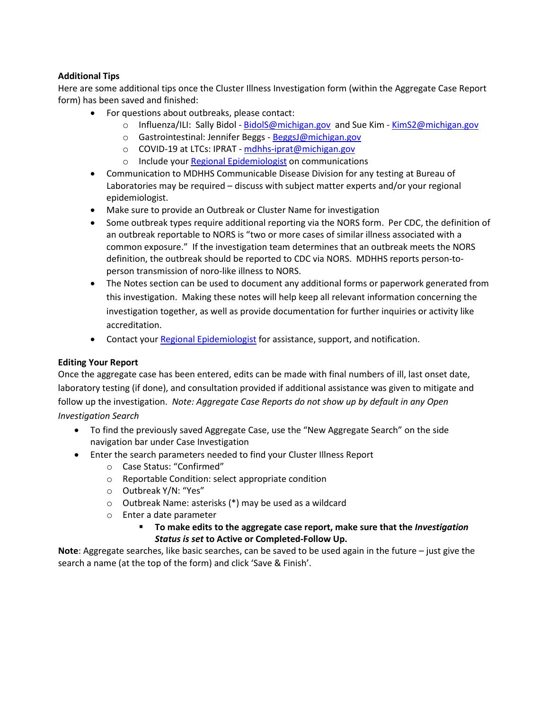### **Additional Tips**

Here are some additional tips once the Cluster Illness Investigation form (within the Aggregate Case Report form) has been saved and finished:

- For questions about outbreaks, please contact:
	- o Influenza/ILI: Sally Bidol [BidolS@michigan.gov](mailto:BidolS@michigan.gov) and Sue Kim [KimS2@michigan.gov](mailto:KimS2@michigan.gov)
	- o Gastrointestinal: Jennifer Beggs [BeggsJ@michigan.gov](mailto:BeggsJ@michigan.gov)
	- o COVID-19 at LTCs: IPRAT [mdhhs-iprat@michigan.gov](mailto:mdhhs-iprat@michigan.gov)
	- o Include your [Regional Epidemiologist](http://www.michigan.gov/documents/MDSS_Support_Resources_87777_7.pdf) on communications
- Communication to MDHHS Communicable Disease Division for any testing at Bureau of Laboratories may be required – discuss with subject matter experts and/or your regional epidemiologist.
- Make sure to provide an Outbreak or Cluster Name for investigation
- Some outbreak types require additional reporting via the NORS form. Per CDC, the definition of an outbreak reportable to NORS is "two or more cases of similar illness associated with a common exposure." If the investigation team determines that an outbreak meets the NORS definition, the outbreak should be reported to CDC via NORS. MDHHS reports person-toperson transmission of noro-like illness to NORS.
- The Notes section can be used to document any additional forms or paperwork generated from this investigation. Making these notes will help keep all relevant information concerning the investigation together, as well as provide documentation for further inquiries or activity like accreditation.
- Contact your [Regional Epidemiologist](http://www.michigan.gov/documents/MDSS_Support_Resources_87777_7.pdf) for assistance, support, and notification.

#### **Editing Your Report**

Once the aggregate case has been entered, edits can be made with final numbers of ill, last onset date, laboratory testing (if done), and consultation provided if additional assistance was given to mitigate and follow up the investigation. *Note: Aggregate Case Reports do not show up by default in any Open Investigation Search*

- To find the previously saved Aggregate Case, use the "New Aggregate Search" on the side navigation bar under Case Investigation
- Enter the search parameters needed to find your Cluster Illness Report
	- o Case Status: "Confirmed"
	- o Reportable Condition: select appropriate condition
	- o Outbreak Y/N: "Yes"
	- o Outbreak Name: asterisks (\*) may be used as a wildcard
	- o Enter a date parameter
		- **To make edits to the aggregate case report, make sure that the** *Investigation Status is set* **to Active or Completed-Follow Up.**

**Note**: Aggregate searches, like basic searches, can be saved to be used again in the future – just give the search a name (at the top of the form) and click 'Save & Finish'.